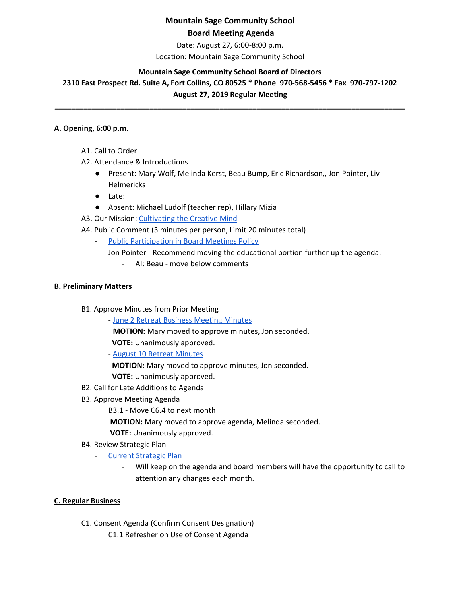Date: August 27, 6:00-8:00 p.m.

Location: Mountain Sage Community School

### **Mountain Sage Community School Board of Directors**

**2310 East Prospect Rd. Suite A, Fort Collins, CO 80525 \* Phone 970-568-5456 \* Fax 970-797-1202 August 27, 2019 Regular Meeting**

**\_\_\_\_\_\_\_\_\_\_\_\_\_\_\_\_\_\_\_\_\_\_\_\_\_\_\_\_\_\_\_\_\_\_\_\_\_\_\_\_\_\_\_\_\_\_\_\_\_\_\_\_\_\_\_\_\_\_\_\_\_\_\_\_\_\_\_\_\_\_\_\_\_\_\_\_\_\_\_\_\_\_\_\_\_**

### **A. Opening, 6:00 p.m.**

- A1. Call to Order
- A2. Attendance & Introductions
	- Present: Mary Wolf, Melinda Kerst, Beau Bump, Eric Richardson,, Jon Pointer, Liv Helmericks
	- Late:
	- Absent: Michael Ludolf (teacher rep), Hillary Mizia

A3. Our Mission: [Cultivating](http://www.mountainsage.org/mission-and-vision.html) the Creative Mind

A4. Public Comment (3 minutes per person, Limit 20 minutes total)

- Public [Participation](https://docs.google.com/document/d/1gc0LQdyzkk8w7Nxegsq7Pc5SlP84wwAHRijWtk8bn6I/edit) in Board Meetings Policy
- Jon Pointer Recommend moving the educational portion further up the agenda.
	- AI: Beau move below comments

### **B. Preliminary Matters**

- B1. Approve Minutes from Prior Meeting
	- June 2 Retreat [Business](https://docs.google.com/document/d/1OW2rxTA9QfvlRKk_4axN_acp1LhAyKyv99JBmfbmHjA/edit?usp=sharing) Meeting Minutes

**MOTION:** Mary moved to approve minutes, Jon seconded.

**VOTE:** Unanimously approved.

- August 10 Retreat [Minutes](https://docs.google.com/document/d/1baOVyft3zmBXyY4Zxb4g2nuGUzlibIL7u_FL604vXvc/edit)

**MOTION:** Mary moved to approve minutes, Jon seconded. **VOTE:** Unanimously approved.

- B2. Call for Late Additions to Agenda
- B3. Approve Meeting Agenda

B3.1 - Move C6.4 to next month

**MOTION:** Mary moved to approve agenda, Melinda seconded.

**VOTE:** Unanimously approved.

B4. Review Strategic Plan

- Current [Strategic](https://docs.google.com/spreadsheets/d/1bIEAL8S8NnDx9PPJRR79h1dLsXFMCh-t/edit#gid=925806025) Plan

Will keep on the agenda and board members will have the opportunity to call to attention any changes each month.

### **C. Regular Business**

C1. Consent Agenda (Confirm Consent Designation)

C1.1 Refresher on Use of Consent Agenda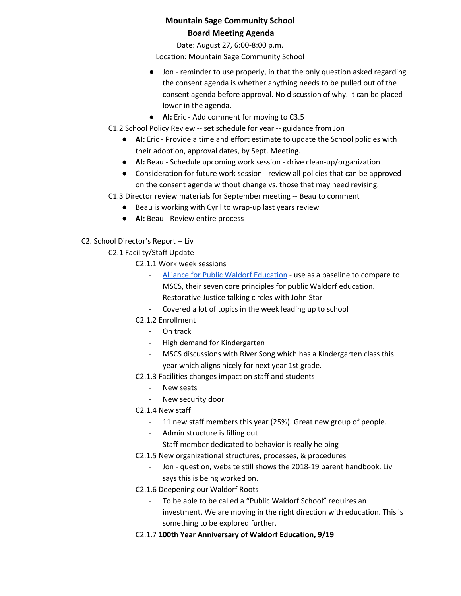Date: August 27, 6:00-8:00 p.m.

Location: Mountain Sage Community School

- Jon reminder to use properly, in that the only question asked regarding the consent agenda is whether anything needs to be pulled out of the consent agenda before approval. No discussion of why. It can be placed lower in the agenda.
- **AI:** Eric Add comment for moving to C3.5
- C1.2 School Policy Review -- set schedule for year -- guidance from Jon
	- **AI:** Eric Provide a time and effort estimate to update the School policies with their adoption, approval dates, by Sept. Meeting.
	- **AI:** Beau Schedule upcoming work session drive clean-up/organization
	- Consideration for future work session review all policies that can be approved on the consent agenda without change vs. those that may need revising.

C1.3 Director review materials for September meeting -- Beau to comment

- Beau is working with Cyril to wrap-up last years review
- **AI:** Beau Review entire process
- C2. School Director's Report -- Liv

C2.1 Facility/Staff Update

- C2.1.1 Work week sessions
	- Alliance for Public Waldorf [Education](http://www.allianceforpublicwaldorfeducation.org/) use as a baseline to compare to MSCS, their seven core principles for public Waldorf education.
	- Restorative Justice talking circles with John Star
	- Covered a lot of topics in the week leading up to school
- C2.1.2 Enrollment
	- On track
	- High demand for Kindergarten
	- MSCS discussions with River Song which has a Kindergarten class this year which aligns nicely for next year 1st grade.
- C2.1.3 Facilities changes impact on staff and students
	- New seats
	- New security door
- C2.1.4 New staff
	- 11 new staff members this year (25%). Great new group of people.
	- Admin structure is filling out
	- Staff member dedicated to behavior is really helping
- C2.1.5 New organizational structures, processes, & procedures
	- Jon question, website still shows the 2018-19 parent handbook. Liv says this is being worked on.
- C2.1.6 Deepening our Waldorf Roots
	- To be able to be called a "Public Waldorf School" requires an investment. We are moving in the right direction with education. This is something to be explored further.
- C2.1.7 **100th Year Anniversary of Waldorf Education, 9/19**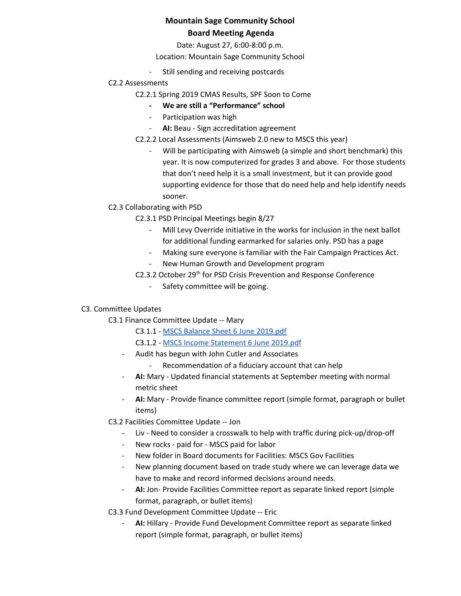Date: August 27, 6:00-8:00 p.m.

Location: Mountain Sage Community School

- Still sending and receiving postcards
- C2.2 Assessments
	- C2.2.1 Spring 2019 CMAS Results, SPF Soon to Come
		- **- We are still a "Performance" school**
		- Participation was high
		- **AI:** Beau Sign accreditation agreement
	- C2.2.2 Local Assessments (Aimsweb 2.0 new to MSCS this year)
		- Will be participating with Aimsweb (a simple and short benchmark) this year. It is now computerized for grades 3 and above. For those students that don't need help it is a small investment, but it can provide good supporting evidence for those that do need help and help identify needs sooner.
- C2.3 Collaborating with PSD
	- C2.3.1 PSD Principal Meetings begin 8/27
		- Mill Levy Override initiative in the works for inclusion in the next ballot for additional funding earmarked for salaries only. PSD has a page
		- Making sure everyone is familiar with the Fair Campaign Practices Act.
		- New Human Growth and Development program
	- C2.3.2 October 29<sup>th</sup> for PSD Crisis Prevention and Response Conference
		- Safety committee will be going.

### C3. Committee Updates

- C3.1 Finance Committee Update -- Mary
	- C3.1.1 MSCS Balance Sheet 6 June [2019.pdf](https://drive.google.com/file/d/0BwYnvoGpYgfKc1NNSFBNeHBnRXRIdHV5LXQ1MFVLeFEzbjNJ/view?usp=sharing)
	- C3.1.2 MSCS Income [Statement](https://drive.google.com/file/d/0BwYnvoGpYgfKMTBfT05mRjVHZGQzcHNURTcyYXpjWXJ4ZzBN/view?usp=sharing) 6 June 2019.pdf
	- Audit has begun with John Cutler and Associates
		- Recommendation of a fiduciary account that can help
	- **AI:** Mary Updated financial statements at September meeting with normal metric sheet
	- **AI:** Mary Provide finance committee report (simple format, paragraph or bullet items)
- C3.2 Facilities Committee Update -- Jon
	- Liv Need to consider a crosswalk to help with traffic during pick-up/drop-off
	- New rocks paid for MSCS paid for labor
	- New folder in Board documents for Facilities: MSCS Gov Facilities
	- New planning document based on trade study where we can leverage data we have to make and record informed decisions around needs.
	- AI: Jon- Provide Facilities Committee report as separate linked report (simple format, paragraph, or bullet items)

C3.3 Fund Development Committee Update -- Eric

AI: Hillary - Provide Fund Development Committee report as separate linked report (simple format, paragraph, or bullet items)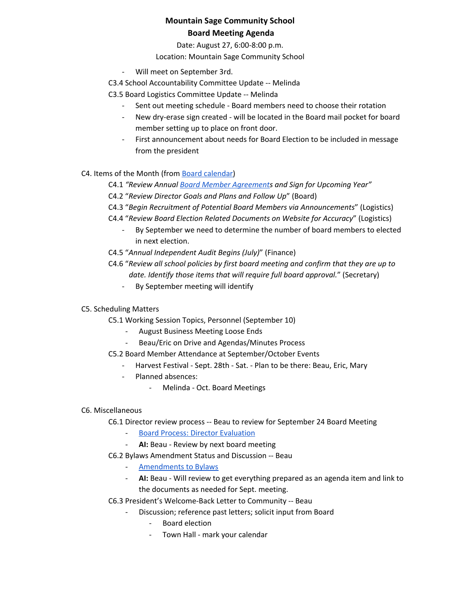Date: August 27, 6:00-8:00 p.m.

Location: Mountain Sage Community School

- Will meet on September 3rd.
- C3.4 School Accountability Committee Update -- Melinda
- C3.5 Board Logistics Committee Update -- Melinda
	- Sent out meeting schedule Board members need to choose their rotation
	- New dry-erase sign created will be located in the Board mail pocket for board member setting up to place on front door.
	- First announcement about needs for Board Election to be included in message from the president

C4. Items of the Month (from Board [calendar\)](https://docs.google.com/document/d/12S6s-qevYMsnj8Cr2yw6uMO7S7hL3gz2oKvXZk5ZndQ/edit)

- C4.1 *"Review Annual Board Member [Agreement](https://docs.google.com/document/d/1f6elj5bnQttIrJOPn2ZzBBbBHHvJk2Kn3kGwIwJ7uYs/edit?usp=sharing)s and Sign for Upcoming Year"*
- C4.2 "*Review Director Goals and Plans and Follow Up*" (Board)
- C4.3 "*Begin Recruitment of Potential Board Members via Announcements*" (Logistics)
- C4.4 "*Review Board Election Related Documents on Website for Accuracy*" (Logistics)
	- By September we need to determine the number of board members to elected in next election.
- C4.5 "*Annual Independent Audit Begins (July)*" (Finance)
- C4.6 "*Review all school policies by first board meeting and confirm that they are up to date. Identify those items that will require full board approval.*" (Secretary)
	- By September meeting will identify

### C5. Scheduling Matters

C5.1 Working Session Topics, Personnel (September 10)

- August Business Meeting Loose Ends
- Beau/Eric on Drive and Agendas/Minutes Process
- C5.2 Board Member Attendance at September/October Events
	- Harvest Festival Sept. 28th Sat. Plan to be there: Beau, Eric, Mary
	- Planned absences:
		- Melinda Oct. Board Meetings

### C6. Miscellaneous

C6.1 Director review process -- Beau to review for September 24 Board Meeting

- Board Process: Director [Evaluation](https://docs.google.com/document/d/1UdgmXYE3posfh2bNuV6KAWxQvELogqQaY_AxWWZ-ydc/edit)
- **AI:** Beau Review by next board meeting
- C6.2 Bylaws Amendment Status and Discussion -- Beau
	- [Amendments](https://docs.google.com/document/d/18ly5zagJlFNgmPl4aDgzbKXqnwaEYzV4FFlG1qisgX8/edit) to Bylaws
	- **AI:** Beau Will review to get everything prepared as an agenda item and link to the documents as needed for Sept. meeting.
- C6.3 President's Welcome-Back Letter to Community -- Beau
	- Discussion; reference past letters; solicit input from Board
		- Board election
		- Town Hall mark your calendar